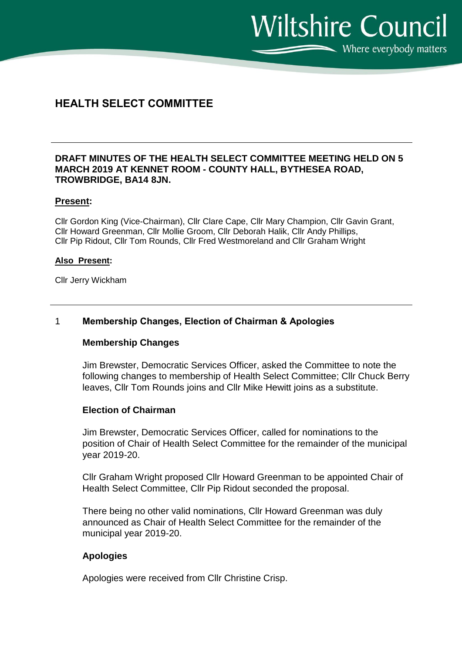$\sum$  Where everybody matters

**Wiltshire Council** 

# **HEALTH SELECT COMMITTEE**

# **DRAFT MINUTES OF THE HEALTH SELECT COMMITTEE MEETING HELD ON 5 MARCH 2019 AT KENNET ROOM - COUNTY HALL, BYTHESEA ROAD, TROWBRIDGE, BA14 8JN.**

## **Present:**

Cllr Gordon King (Vice-Chairman), Cllr Clare Cape, Cllr Mary Champion, Cllr Gavin Grant, Cllr Howard Greenman, Cllr Mollie Groom, Cllr Deborah Halik, Cllr Andy Phillips, Cllr Pip Ridout, Cllr Tom Rounds, Cllr Fred Westmoreland and Cllr Graham Wright

## **Also Present:**

Cllr Jerry Wickham

# 1 **Membership Changes, Election of Chairman & Apologies**

## **Membership Changes**

Jim Brewster, Democratic Services Officer, asked the Committee to note the following changes to membership of Health Select Committee; Cllr Chuck Berry leaves, Cllr Tom Rounds joins and Cllr Mike Hewitt joins as a substitute.

## **Election of Chairman**

Jim Brewster, Democratic Services Officer, called for nominations to the position of Chair of Health Select Committee for the remainder of the municipal year 2019-20.

Cllr Graham Wright proposed Cllr Howard Greenman to be appointed Chair of Health Select Committee, Cllr Pip Ridout seconded the proposal.

There being no other valid nominations, Cllr Howard Greenman was duly announced as Chair of Health Select Committee for the remainder of the municipal year 2019-20.

# **Apologies**

Apologies were received from Cllr Christine Crisp.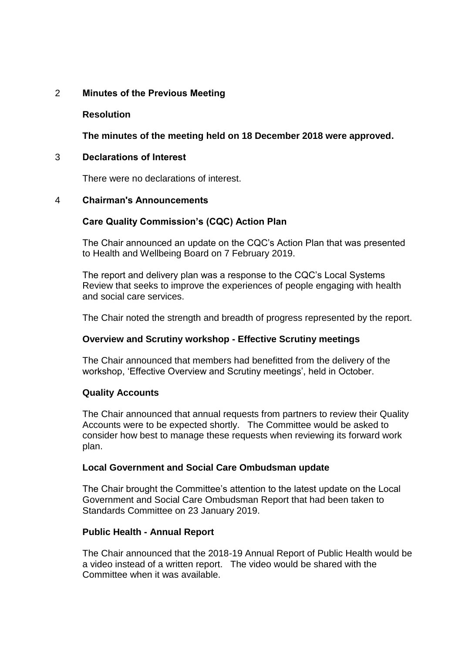# 2 **Minutes of the Previous Meeting**

# **Resolution**

**The minutes of the meeting held on 18 December 2018 were approved.**

## 3 **Declarations of Interest**

There were no declarations of interest.

## 4 **Chairman's Announcements**

# **Care Quality Commission's (CQC) Action Plan**

The Chair announced an update on the CQC's Action Plan that was presented to Health and Wellbeing Board on 7 February 2019.

The report and delivery plan was a response to the CQC's Local Systems Review that seeks to improve the experiences of people engaging with health and social care services.

The Chair noted the strength and breadth of progress represented by the report.

## **Overview and Scrutiny workshop - Effective Scrutiny meetings**

The Chair announced that members had benefitted from the delivery of the workshop, 'Effective Overview and Scrutiny meetings', held in October.

## **Quality Accounts**

The Chair announced that annual requests from partners to review their Quality Accounts were to be expected shortly. The Committee would be asked to consider how best to manage these requests when reviewing its forward work plan.

## **Local Government and Social Care Ombudsman update**

The Chair brought the Committee's attention to the latest update on the Local Government and Social Care Ombudsman Report that had been taken to Standards Committee on 23 January 2019.

## **Public Health - Annual Report**

The Chair announced that the 2018-19 Annual Report of Public Health would be a video instead of a written report. The video would be shared with the Committee when it was available.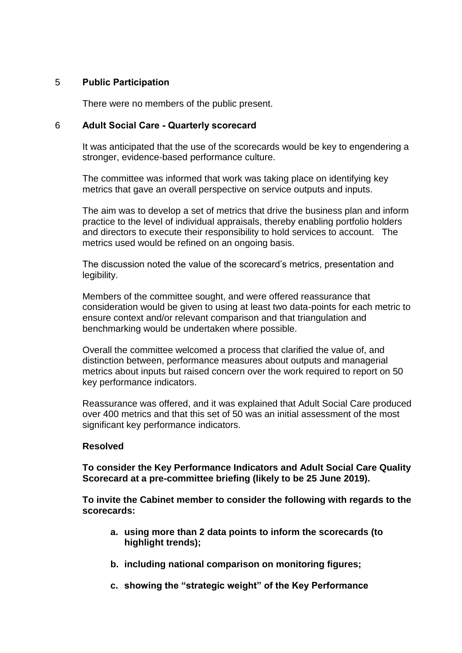# 5 **Public Participation**

There were no members of the public present.

# 6 **Adult Social Care - Quarterly scorecard**

It was anticipated that the use of the scorecards would be key to engendering a stronger, evidence-based performance culture.

The committee was informed that work was taking place on identifying key metrics that gave an overall perspective on service outputs and inputs.

The aim was to develop a set of metrics that drive the business plan and inform practice to the level of individual appraisals, thereby enabling portfolio holders and directors to execute their responsibility to hold services to account. The metrics used would be refined on an ongoing basis.

The discussion noted the value of the scorecard's metrics, presentation and legibility.

Members of the committee sought, and were offered reassurance that consideration would be given to using at least two data-points for each metric to ensure context and/or relevant comparison and that triangulation and benchmarking would be undertaken where possible.

Overall the committee welcomed a process that clarified the value of, and distinction between, performance measures about outputs and managerial metrics about inputs but raised concern over the work required to report on 50 key performance indicators.

Reassurance was offered, and it was explained that Adult Social Care produced over 400 metrics and that this set of 50 was an initial assessment of the most significant key performance indicators.

# **Resolved**

**To consider the Key Performance Indicators and Adult Social Care Quality Scorecard at a pre-committee briefing (likely to be 25 June 2019).**

**To invite the Cabinet member to consider the following with regards to the scorecards:**

- **a. using more than 2 data points to inform the scorecards (to highlight trends);**
- **b. including national comparison on monitoring figures;**
- **c. showing the "strategic weight" of the Key Performance**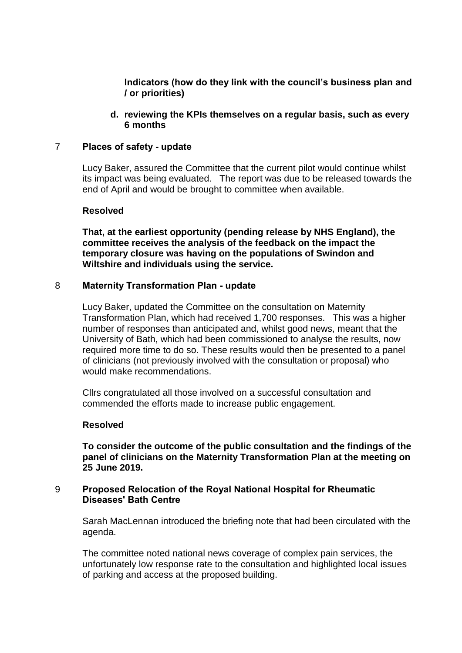**Indicators (how do they link with the council's business plan and / or priorities)**

**d. reviewing the KPIs themselves on a regular basis, such as every 6 months**

## 7 **Places of safety - update**

Lucy Baker, assured the Committee that the current pilot would continue whilst its impact was being evaluated. The report was due to be released towards the end of April and would be brought to committee when available.

## **Resolved**

**That, at the earliest opportunity (pending release by NHS England), the committee receives the analysis of the feedback on the impact the temporary closure was having on the populations of Swindon and Wiltshire and individuals using the service.**

## 8 **Maternity Transformation Plan - update**

Lucy Baker, updated the Committee on the consultation on Maternity Transformation Plan, which had received 1,700 responses. This was a higher number of responses than anticipated and, whilst good news, meant that the University of Bath, which had been commissioned to analyse the results, now required more time to do so. These results would then be presented to a panel of clinicians (not previously involved with the consultation or proposal) who would make recommendations.

Cllrs congratulated all those involved on a successful consultation and commended the efforts made to increase public engagement.

## **Resolved**

**To consider the outcome of the public consultation and the findings of the panel of clinicians on the Maternity Transformation Plan at the meeting on 25 June 2019.**

## 9 **Proposed Relocation of the Royal National Hospital for Rheumatic Diseases' Bath Centre**

Sarah MacLennan introduced the briefing note that had been circulated with the agenda.

The committee noted national news coverage of complex pain services, the unfortunately low response rate to the consultation and highlighted local issues of parking and access at the proposed building.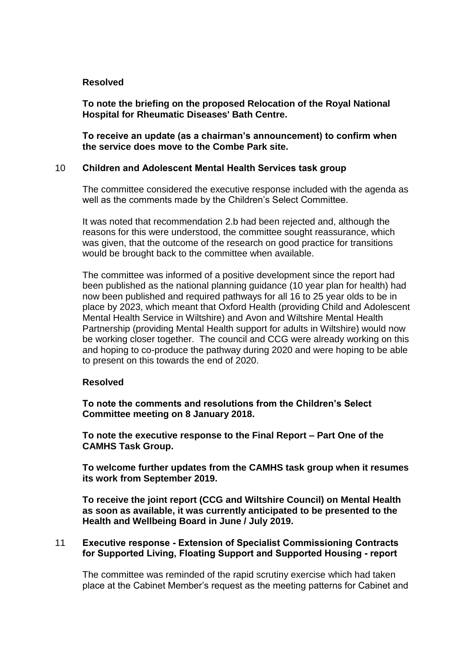# **Resolved**

**To note the briefing on the proposed Relocation of the Royal National Hospital for Rheumatic Diseases' Bath Centre.**

**To receive an update (as a chairman's announcement) to confirm when the service does move to the Combe Park site.**

# 10 **Children and Adolescent Mental Health Services task group**

The committee considered the executive response included with the agenda as well as the comments made by the Children's Select Committee.

It was noted that recommendation 2.b had been rejected and, although the reasons for this were understood, the committee sought reassurance, which was given, that the outcome of the research on good practice for transitions would be brought back to the committee when available.

The committee was informed of a positive development since the report had been published as the national planning guidance (10 year plan for health) had now been published and required pathways for all 16 to 25 year olds to be in place by 2023, which meant that Oxford Health (providing Child and Adolescent Mental Health Service in Wiltshire) and Avon and Wiltshire Mental Health Partnership (providing Mental Health support for adults in Wiltshire) would now be working closer together. The council and CCG were already working on this and hoping to co-produce the pathway during 2020 and were hoping to be able to present on this towards the end of 2020.

## **Resolved**

**To note the comments and resolutions from the Children's Select Committee meeting on 8 January 2018.**

**To note the executive response to the Final Report – Part One of the CAMHS Task Group.**

**To welcome further updates from the CAMHS task group when it resumes its work from September 2019.**

**To receive the joint report (CCG and Wiltshire Council) on Mental Health as soon as available, it was currently anticipated to be presented to the Health and Wellbeing Board in June / July 2019.** 

## 11 **Executive response - Extension of Specialist Commissioning Contracts for Supported Living, Floating Support and Supported Housing - report**

The committee was reminded of the rapid scrutiny exercise which had taken place at the Cabinet Member's request as the meeting patterns for Cabinet and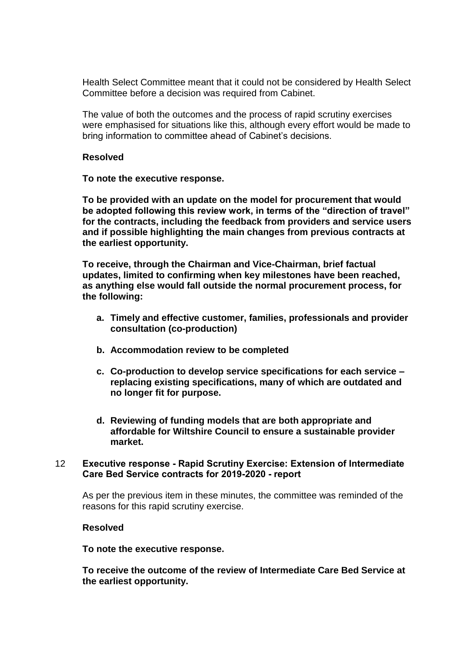Health Select Committee meant that it could not be considered by Health Select Committee before a decision was required from Cabinet.

The value of both the outcomes and the process of rapid scrutiny exercises were emphasised for situations like this, although every effort would be made to bring information to committee ahead of Cabinet's decisions.

## **Resolved**

**To note the executive response.**

**To be provided with an update on the model for procurement that would be adopted following this review work, in terms of the "direction of travel" for the contracts, including the feedback from providers and service users and if possible highlighting the main changes from previous contracts at the earliest opportunity.**

**To receive, through the Chairman and Vice-Chairman, brief factual updates, limited to confirming when key milestones have been reached, as anything else would fall outside the normal procurement process, for the following:**

- **a. Timely and effective customer, families, professionals and provider consultation (co-production)**
- **b. Accommodation review to be completed**
- **c. Co-production to develop service specifications for each service – replacing existing specifications, many of which are outdated and no longer fit for purpose.**
- **d. Reviewing of funding models that are both appropriate and affordable for Wiltshire Council to ensure a sustainable provider market.**

## 12 **Executive response - Rapid Scrutiny Exercise: Extension of Intermediate Care Bed Service contracts for 2019-2020 - report**

As per the previous item in these minutes, the committee was reminded of the reasons for this rapid scrutiny exercise.

## **Resolved**

## **To note the executive response.**

**To receive the outcome of the review of Intermediate Care Bed Service at the earliest opportunity.**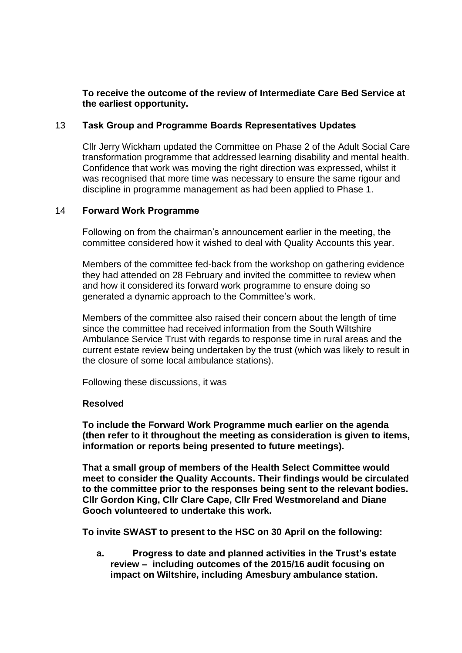# **To receive the outcome of the review of Intermediate Care Bed Service at the earliest opportunity.**

# 13 **Task Group and Programme Boards Representatives Updates**

Cllr Jerry Wickham updated the Committee on Phase 2 of the Adult Social Care transformation programme that addressed learning disability and mental health. Confidence that work was moving the right direction was expressed, whilst it was recognised that more time was necessary to ensure the same rigour and discipline in programme management as had been applied to Phase 1.

## 14 **Forward Work Programme**

Following on from the chairman's announcement earlier in the meeting, the committee considered how it wished to deal with Quality Accounts this year.

Members of the committee fed-back from the workshop on gathering evidence they had attended on 28 February and invited the committee to review when and how it considered its forward work programme to ensure doing so generated a dynamic approach to the Committee's work.

Members of the committee also raised their concern about the length of time since the committee had received information from the South Wiltshire Ambulance Service Trust with regards to response time in rural areas and the current estate review being undertaken by the trust (which was likely to result in the closure of some local ambulance stations).

Following these discussions, it was

## **Resolved**

**To include the Forward Work Programme much earlier on the agenda (then refer to it throughout the meeting as consideration is given to items, information or reports being presented to future meetings).**

**That a small group of members of the Health Select Committee would meet to consider the Quality Accounts. Their findings would be circulated to the committee prior to the responses being sent to the relevant bodies. Cllr Gordon King, Cllr Clare Cape, Cllr Fred Westmoreland and Diane Gooch volunteered to undertake this work.**

**To invite SWAST to present to the HSC on 30 April on the following:**

**a. Progress to date and planned activities in the Trust's estate review – including outcomes of the 2015/16 audit focusing on impact on Wiltshire, including Amesbury ambulance station.**